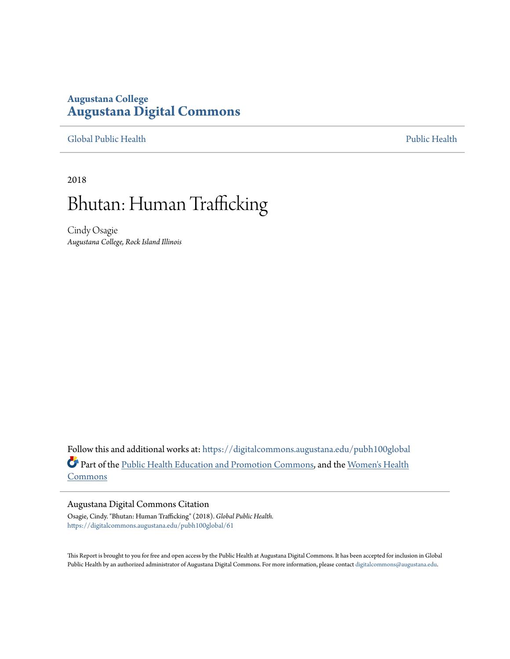### **Augustana College [Augustana Digital Commons](https://digitalcommons.augustana.edu?utm_source=digitalcommons.augustana.edu%2Fpubh100global%2F61&utm_medium=PDF&utm_campaign=PDFCoverPages)**

[Global Public Health](https://digitalcommons.augustana.edu/pubh100global?utm_source=digitalcommons.augustana.edu%2Fpubh100global%2F61&utm_medium=PDF&utm_campaign=PDFCoverPages) [Public Health](https://digitalcommons.augustana.edu/publichealth?utm_source=digitalcommons.augustana.edu%2Fpubh100global%2F61&utm_medium=PDF&utm_campaign=PDFCoverPages)

2018

# Bhutan: Human Trafficking

Cindy Osagie *Augustana College, Rock Island Illinois*

Follow this and additional works at: [https://digitalcommons.augustana.edu/pubh100global](https://digitalcommons.augustana.edu/pubh100global?utm_source=digitalcommons.augustana.edu%2Fpubh100global%2F61&utm_medium=PDF&utm_campaign=PDFCoverPages) Part of the [Public Health Education and Promotion Commons,](http://network.bepress.com/hgg/discipline/743?utm_source=digitalcommons.augustana.edu%2Fpubh100global%2F61&utm_medium=PDF&utm_campaign=PDFCoverPages) and the [Women's Health](http://network.bepress.com/hgg/discipline/1241?utm_source=digitalcommons.augustana.edu%2Fpubh100global%2F61&utm_medium=PDF&utm_campaign=PDFCoverPages) [Commons](http://network.bepress.com/hgg/discipline/1241?utm_source=digitalcommons.augustana.edu%2Fpubh100global%2F61&utm_medium=PDF&utm_campaign=PDFCoverPages)

#### Augustana Digital Commons Citation

Osagie, Cindy. "Bhutan: Human Trafficking" (2018). *Global Public Health.* [https://digitalcommons.augustana.edu/pubh100global/61](https://digitalcommons.augustana.edu/pubh100global/61?utm_source=digitalcommons.augustana.edu%2Fpubh100global%2F61&utm_medium=PDF&utm_campaign=PDFCoverPages)

This Report is brought to you for free and open access by the Public Health at Augustana Digital Commons. It has been accepted for inclusion in Global Public Health by an authorized administrator of Augustana Digital Commons. For more information, please contact [digitalcommons@augustana.edu.](mailto:digitalcommons@augustana.edu)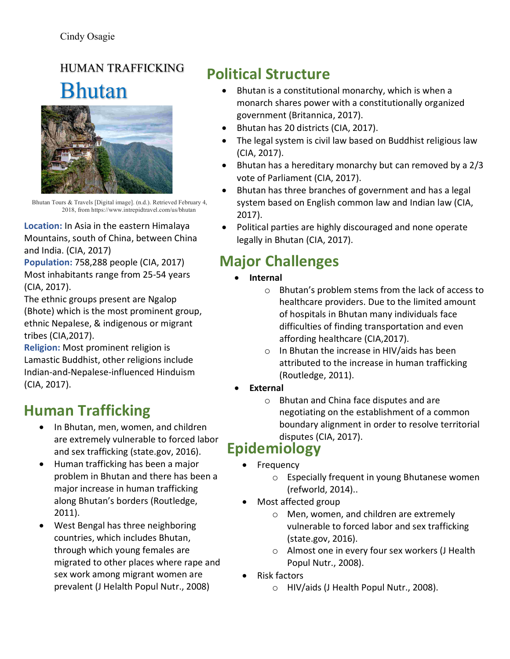# HUMAN TRAFFICKING Bhutan



Bhutan Tours & Travels [Digital image]. (n.d.). Retrieved February 4, 2018, from https://www.intrepidtravel.com/us/bhutan

**Location:** In Asia in the eastern Himalaya Mountains, south of China, between China and India. (CIA, 2017)

**Population: 758,288 people (CIA, 2017)** Most inhabitants range from 25-54 years (CIA, 2017). 

The ethnic groups present are Ngalop (Bhote) which is the most prominent group, ethnic Nepalese, & indigenous or migrant tribes (CIA,2017).

**Religion:** Most prominent religion is Lamastic Buddhist, other religions include Indian-and-Nepalese-influenced Hinduism (CIA, 2017).

### **Human Trafficking**

- In Bhutan, men, women, and children are extremely vulnerable to forced labor and sex trafficking (state.gov, 2016).
- Human trafficking has been a major problem in Bhutan and there has been a major increase in human trafficking along Bhutan's borders (Routledge, 2011).
- West Bengal has three neighboring countries, which includes Bhutan, through which young females are migrated to other places where rape and sex work among migrant women are prevalent (J Helalth Popul Nutr., 2008)

## **Political Structure**

- Bhutan is a constitutional monarchy, which is when a monarch shares power with a constitutionally organized government (Britannica, 2017).
- Bhutan has 20 districts (CIA, 2017).
- The legal system is civil law based on Buddhist religious law (CIA, 2017).
- Bhutan has a hereditary monarchy but can removed by a  $2/3$ vote of Parliament (CIA, 2017).
- Bhutan has three branches of government and has a legal system based on English common law and Indian law (CIA, 2017).
- Political parties are highly discouraged and none operate legally in Bhutan (CIA, 2017).

## **Major Challenges**

- **Internal** 
	- $\circ$  Bhutan's problem stems from the lack of access to healthcare providers. Due to the limited amount of hospitals in Bhutan many individuals face difficulties of finding transportation and even affording healthcare (CIA, 2017).
	- $\circ$  In Bhutan the increase in HIV/aids has been attributed to the increase in human trafficking (Routledge, 2011).
- **External**
	- $\circ$  Bhutan and China face disputes and are negotiating on the establishment of a common boundary alignment in order to resolve territorial disputes (CIA, 2017).

### **Epidemiology**

- Frequency
	- $\circ$  Especially frequent in young Bhutanese women (refworld, 2014)..
- Most affected group
	- $\circ$  Men, women, and children are extremely vulnerable to forced labor and sex trafficking (state.gov, 2016).
	- $\circ$  Almost one in every four sex workers (J Health Popul Nutr., 2008).
- Risk factors
	- $\circ$  HIV/aids (J Health Popul Nutr., 2008).